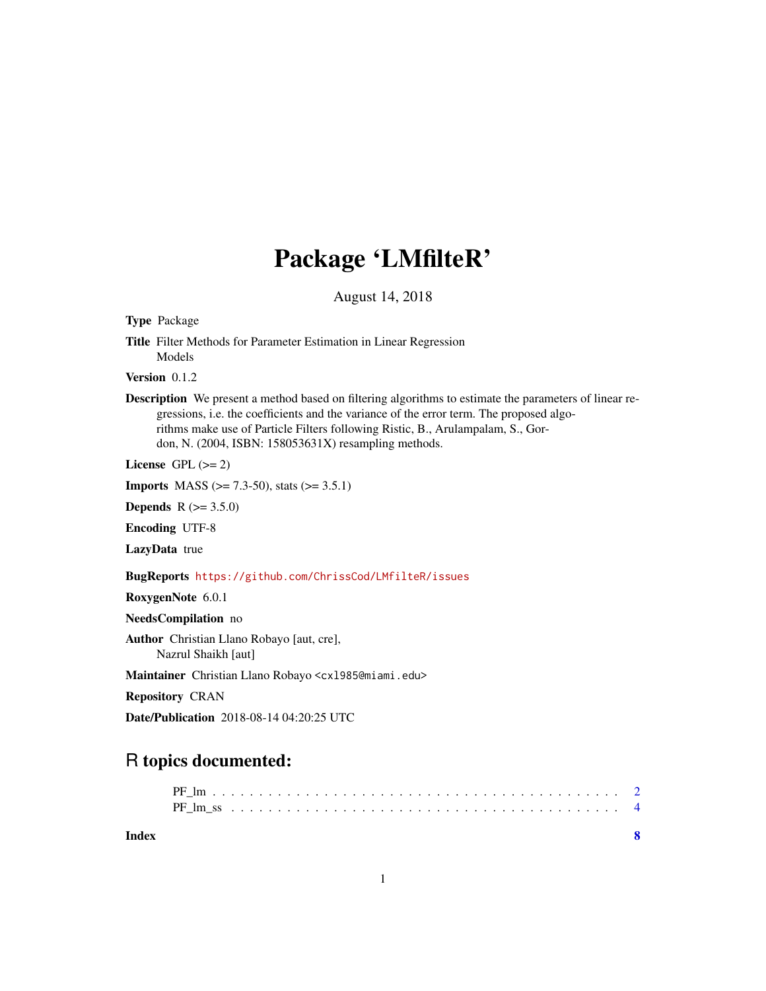## Package 'LMfilteR'

August 14, 2018

Type Package

Title Filter Methods for Parameter Estimation in Linear Regression Models

Version 0.1.2

Description We present a method based on filtering algorithms to estimate the parameters of linear regressions, i.e. the coefficients and the variance of the error term. The proposed algorithms make use of Particle Filters following Ristic, B., Arulampalam, S., Gordon, N. (2004, ISBN: 158053631X) resampling methods.

License GPL  $(>= 2)$ 

**Imports** MASS ( $>= 7.3-50$ ), stats ( $>= 3.5.1$ )

**Depends**  $R (= 3.5.0)$ 

Encoding UTF-8

LazyData true

BugReports <https://github.com/ChrissCod/LMfilteR/issues>

RoxygenNote 6.0.1

NeedsCompilation no

Author Christian Llano Robayo [aut, cre], Nazrul Shaikh [aut]

Maintainer Christian Llano Robayo <cxl985@miami.edu>

Repository CRAN

Date/Publication 2018-08-14 04:20:25 UTC

### R topics documented:

**Index** [8](#page-7-0) **8**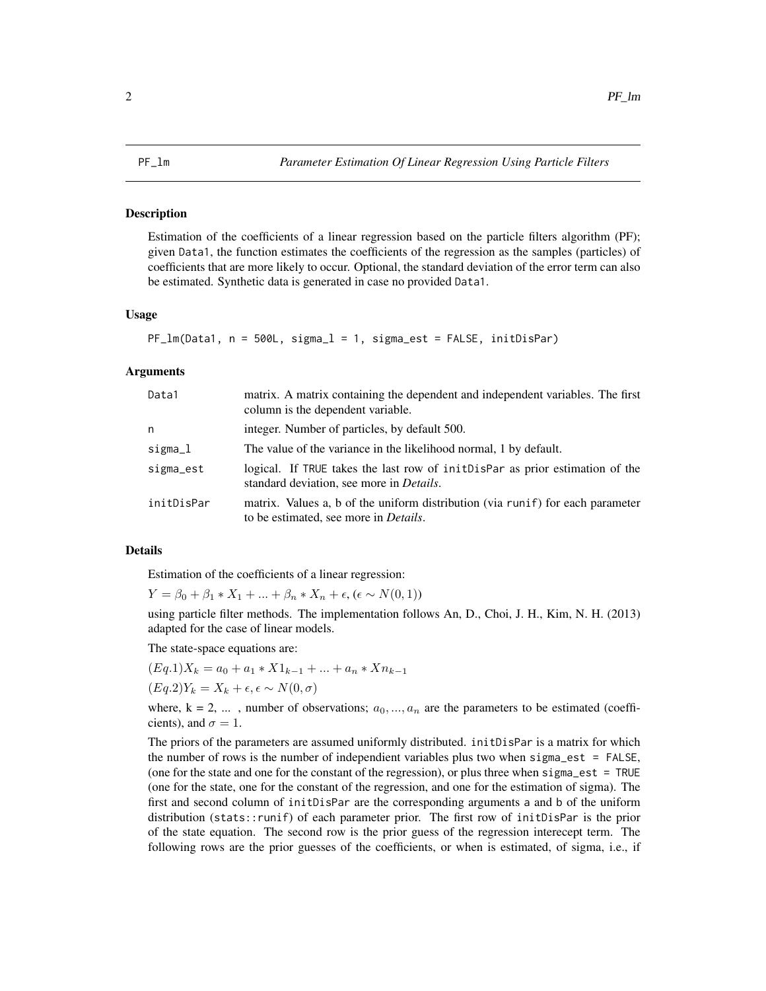#### <span id="page-1-0"></span>**Description**

Estimation of the coefficients of a linear regression based on the particle filters algorithm (PF); given Data1, the function estimates the coefficients of the regression as the samples (particles) of coefficients that are more likely to occur. Optional, the standard deviation of the error term can also be estimated. Synthetic data is generated in case no provided Data1.

#### Usage

```
PF_lm(Data1, n = 500L, sigma_l = 1, sigma_est = FALSE, initDisPar)
```
#### Arguments

| Data1      | matrix. A matrix containing the dependent and independent variables. The first<br>column is the dependent variable.               |
|------------|-----------------------------------------------------------------------------------------------------------------------------------|
| n          | integer. Number of particles, by default 500.                                                                                     |
| sigma_l    | The value of the variance in the likelihood normal, 1 by default.                                                                 |
| sigma_est  | logical. If TRUE takes the last row of init Dispar as prior estimation of the<br>standard deviation, see more in <i>Details</i> . |
| initDisPar | matrix. Values a, b of the uniform distribution (via runif) for each parameter<br>to be estimated, see more in <i>Details</i> .   |

#### Details

Estimation of the coefficients of a linear regression:

 $Y = \beta_0 + \beta_1 * X_1 + ... + \beta_n * X_n + \epsilon, (\epsilon \sim N(0, 1))$ 

using particle filter methods. The implementation follows An, D., Choi, J. H., Kim, N. H. (2013) adapted for the case of linear models.

The state-space equations are:

$$
(Eq.1)X_k = a_0 + a_1 * X1_{k-1} + ... + a_n * Xn_{k-1}
$$
  

$$
(Eq.2)Y_k = X_k + \epsilon, \epsilon \sim N(0, \sigma)
$$

where,  $k = 2, \ldots$ , number of observations;  $a_0, \ldots, a_n$  are the parameters to be estimated (coefficients), and  $\sigma = 1$ .

The priors of the parameters are assumed uniformly distributed. initDisPar is a matrix for which the number of rows is the number of independient variables plus two when sigma\_est = FALSE, (one for the state and one for the constant of the regression), or plus three when sigma\_est = TRUE (one for the state, one for the constant of the regression, and one for the estimation of sigma). The first and second column of initDisPar are the corresponding arguments a and b of the uniform distribution (stats::runif) of each parameter prior. The first row of initDisPar is the prior of the state equation. The second row is the prior guess of the regression interecept term. The following rows are the prior guesses of the coefficients, or when is estimated, of sigma, i.e., if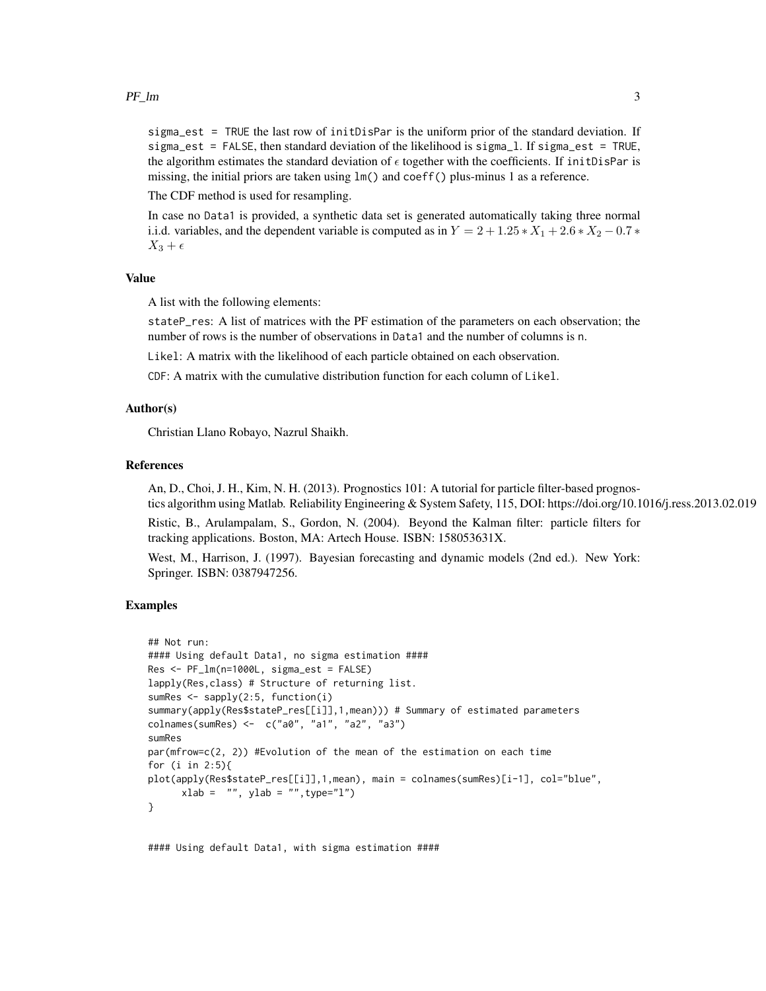#### $PF_{\perp}$  and 3

sigma\_est = TRUE the last row of initDisPar is the uniform prior of the standard deviation. If sigma\_est = FALSE, then standard deviation of the likelihood is sigma\_l. If sigma\_est = TRUE, the algorithm estimates the standard deviation of  $\epsilon$  together with the coefficients. If initDisPar is missing, the initial priors are taken using  $lm()$  and coeff() plus-minus 1 as a reference.

The CDF method is used for resampling.

In case no Data1 is provided, a synthetic data set is generated automatically taking three normal i.i.d. variables, and the dependent variable is computed as in  $Y = 2 + 1.25 \times X_1 + 2.6 \times X_2 - 0.7 \times$  $X_3 + \epsilon$ 

#### Value

A list with the following elements:

stateP\_res: A list of matrices with the PF estimation of the parameters on each observation; the number of rows is the number of observations in Data1 and the number of columns is n.

Likel: A matrix with the likelihood of each particle obtained on each observation.

 $CDF: A$  matrix with the cumulative distribution function for each column of  $Likel$ .

#### Author(s)

Christian Llano Robayo, Nazrul Shaikh.

#### References

An, D., Choi, J. H., Kim, N. H. (2013). Prognostics 101: A tutorial for particle filter-based prognostics algorithm using Matlab. Reliability Engineering & System Safety, 115, DOI: https://doi.org/10.1016/j.ress.2013.02.019

Ristic, B., Arulampalam, S., Gordon, N. (2004). Beyond the Kalman filter: particle filters for tracking applications. Boston, MA: Artech House. ISBN: 158053631X.

West, M., Harrison, J. (1997). Bayesian forecasting and dynamic models (2nd ed.). New York: Springer. ISBN: 0387947256.

#### Examples

```
## Not run:
#### Using default Data1, no sigma estimation ####
Res <- PF_lm(n=1000L, sigma_est = FALSE)
lapply(Res,class) # Structure of returning list.
sumRes <- sapply(2:5, function(i)
summary(apply(Res$stateP_res[[i]],1,mean))) # Summary of estimated parameters
colnames(sumRes) <- c("a0", "a1", "a2", "a3")
sumRes
par(mfrow=c(2, 2)) #Evolution of the mean of the estimation on each time
for (i in 2:5){
plot(apply(Res$stateP_res[[i]],1,mean), main = colnames(sumRes)[i-1], col="blue",
     xlab = "", ylab = "", type="1")}
```
#### Using default Data1, with sigma estimation ####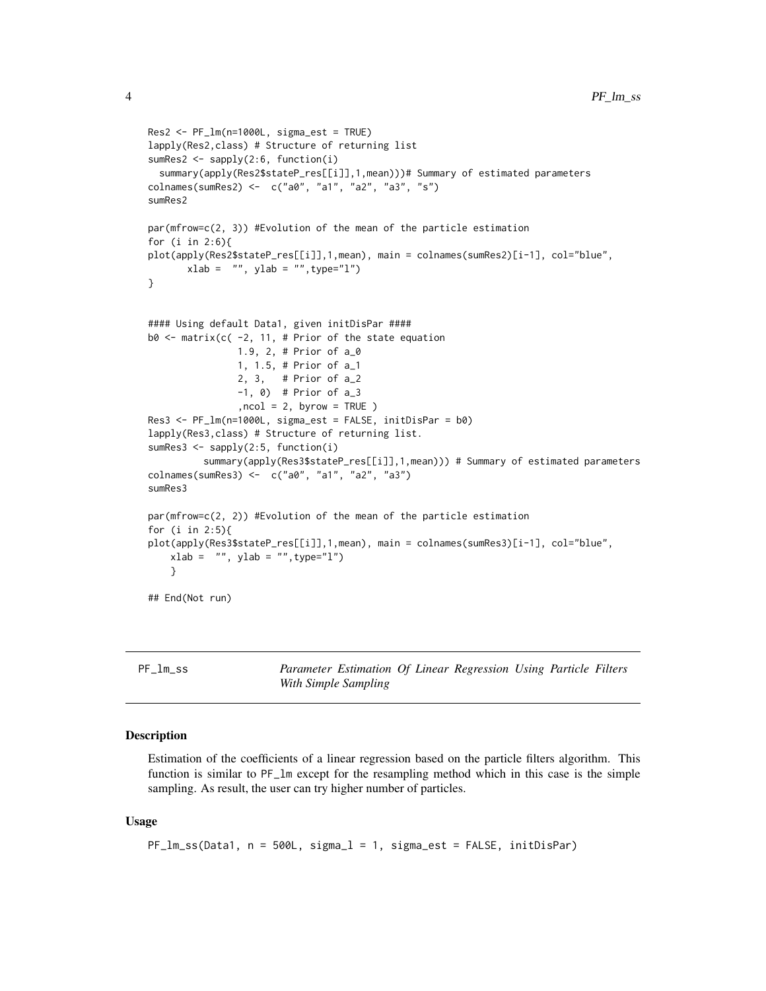```
Res2 <- PF_lm(n=1000L, sigma_est = TRUE)
lapply(Res2,class) # Structure of returning list
sumRes2 <- sapply(2:6, function(i)
 summary(apply(Res2$stateP_res[[i]],1,mean)))# Summary of estimated parameters
colnames(sumRes2) <- c("a0", "a1", "a2", "a3", "s")
sumRes2
par(mfrow=c(2, 3)) #Evolution of the mean of the particle estimation
for (i in 2:6){
plot(apply(Res2$stateP_res[[i]],1,mean), main = colnames(sumRes2)[i-1], col="blue",
       xlab = "", ylab = "", type="1")}
#### Using default Data1, given initDisPar ####
b0 \le matrix(c( -2, 11, # Prior of the state equation
                1.9, 2, # Prior of a_0
                1, 1.5, # Prior of a_1
                2, 3, # Prior of a_2
                -1, 0) # Prior of a_3
                , \text{ncol} = 2, \text{ byrow} = \text{TRUE}Res3 <- PF_lm(n=1000L, sigma_est = FALSE, initDisPar = b0)
lapply(Res3,class) # Structure of returning list.
sumRes3 <- sapply(2:5, function(i)
          summary(apply(Res3$stateP_res[[i]],1,mean))) # Summary of estimated parameters
colnames(sumRes3) <- c("a0", "a1", "a2", "a3")
sumRes3
par(mfrow=c(2, 2)) #Evolution of the mean of the particle estimation
for (i in 2:5){
plot(apply(Res3$stateP_res[[i]],1,mean), main = colnames(sumRes3)[i-1], col="blue",
   xlab = "", ylab = "", type="l")
    }
## End(Not run)
```
PF\_lm\_ss *Parameter Estimation Of Linear Regression Using Particle Filters With Simple Sampling*

#### Description

Estimation of the coefficients of a linear regression based on the particle filters algorithm. This function is similar to PF\_lm except for the resampling method which in this case is the simple sampling. As result, the user can try higher number of particles.

#### Usage

```
PF_lm_ss(Data1, n = 500L, sigma_l = 1, sigma_est = FALSE, initDisPar)
```
<span id="page-3-0"></span>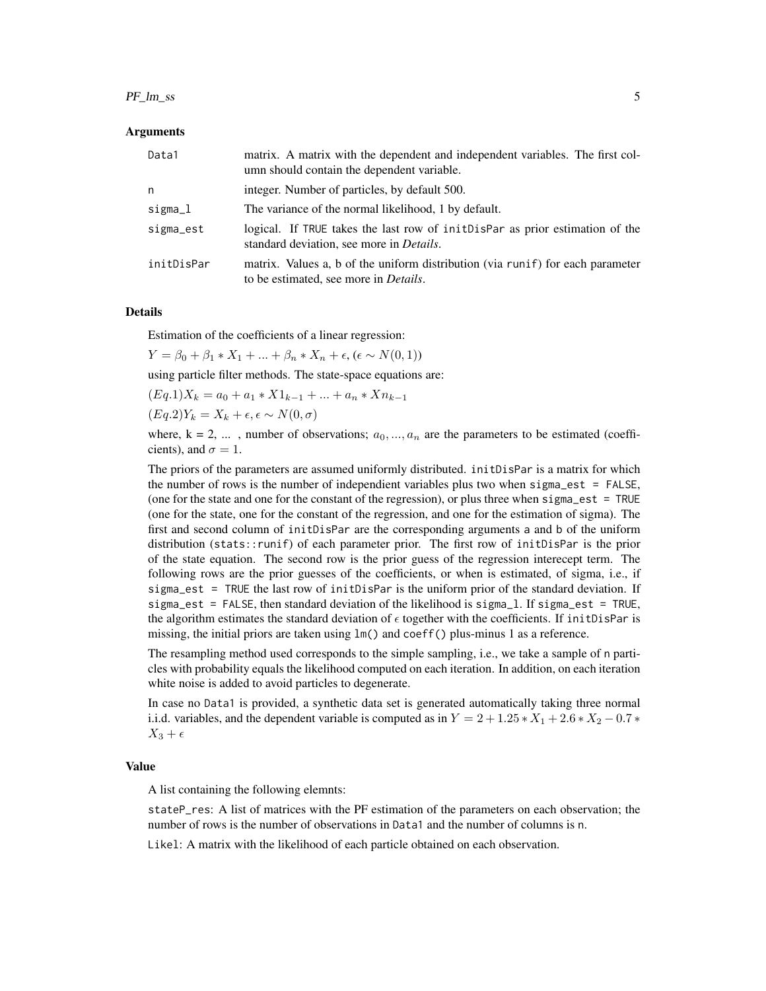#### $PF_{\text{L}} \text{Im}_{\text{L}} \text{ss}$  5

#### Arguments

| Data1      | matrix. A matrix with the dependent and independent variables. The first col-<br>umn should contain the dependent variable.       |
|------------|-----------------------------------------------------------------------------------------------------------------------------------|
| n          | integer. Number of particles, by default 500.                                                                                     |
| sigma_l    | The variance of the normal likelihood, 1 by default.                                                                              |
| sigma_est  | logical. If TRUE takes the last row of init Dispar as prior estimation of the<br>standard deviation, see more in <i>Details</i> . |
| initDisPar | matrix. Values a, b of the uniform distribution (via runif) for each parameter<br>to be estimated, see more in <i>Details</i> .   |

#### Details

Estimation of the coefficients of a linear regression:

$$
Y = \beta_0 + \beta_1 * X_1 + \dots + \beta_n * X_n + \epsilon, (\epsilon \sim N(0, 1))
$$

using particle filter methods. The state-space equations are:

$$
(Eq.1)X_k = a_0 + a_1 \cdot X1_{k-1} + \dots + a_n \cdot Xn_{k-1}
$$

 $(Eq.2)Y_k = X_k + \epsilon, \epsilon \sim N(0, \sigma)$ 

where,  $k = 2, \ldots$ , number of observations;  $a_0, \ldots, a_n$  are the parameters to be estimated (coefficients), and  $\sigma = 1$ .

The priors of the parameters are assumed uniformly distributed. initDisPar is a matrix for which the number of rows is the number of independient variables plus two when sigma\_est = FALSE, (one for the state and one for the constant of the regression), or plus three when sigma\_est = TRUE (one for the state, one for the constant of the regression, and one for the estimation of sigma). The first and second column of initDisPar are the corresponding arguments a and b of the uniform distribution (stats::runif) of each parameter prior. The first row of initDisPar is the prior of the state equation. The second row is the prior guess of the regression interecept term. The following rows are the prior guesses of the coefficients, or when is estimated, of sigma, i.e., if sigma\_est = TRUE the last row of initDisPar is the uniform prior of the standard deviation. If sigma\_est = FALSE, then standard deviation of the likelihood is sigma\_l. If sigma\_est = TRUE, the algorithm estimates the standard deviation of  $\epsilon$  together with the coefficients. If initDisPar is missing, the initial priors are taken using  $lm()$  and coeff() plus-minus 1 as a reference.

The resampling method used corresponds to the simple sampling, i.e., we take a sample of n particles with probability equals the likelihood computed on each iteration. In addition, on each iteration white noise is added to avoid particles to degenerate.

In case no Data1 is provided, a synthetic data set is generated automatically taking three normal i.i.d. variables, and the dependent variable is computed as in  $Y = 2 + 1.25 \times X_1 + 2.6 \times X_2 - 0.7 \times$  $X_3 + \epsilon$ 

#### Value

A list containing the following elemnts:

stateP\_res: A list of matrices with the PF estimation of the parameters on each observation; the number of rows is the number of observations in Data1 and the number of columns is n.

Likel: A matrix with the likelihood of each particle obtained on each observation.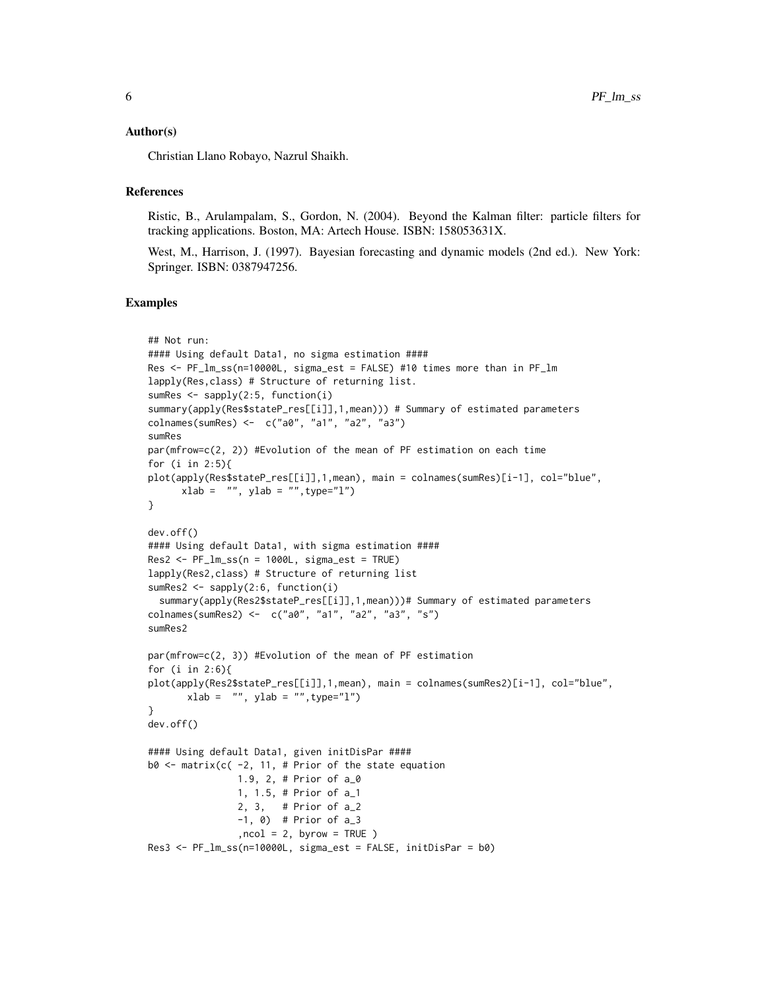#### Author(s)

Christian Llano Robayo, Nazrul Shaikh.

#### References

Ristic, B., Arulampalam, S., Gordon, N. (2004). Beyond the Kalman filter: particle filters for tracking applications. Boston, MA: Artech House. ISBN: 158053631X.

West, M., Harrison, J. (1997). Bayesian forecasting and dynamic models (2nd ed.). New York: Springer. ISBN: 0387947256.

#### Examples

```
## Not run:
#### Using default Data1, no sigma estimation ####
Res <- PF_lm_ss(n=10000L, sigma_est = FALSE) #10 times more than in PF_lm
lapply(Res,class) # Structure of returning list.
sumRes \leq sapply(2:5, function(i)
summary(apply(Res$stateP_res[[i]],1,mean))) # Summary of estimated parameters
colnames(sumRes) <- c("a0", "a1", "a2", "a3")
sumRes
par(mfrow=c(2, 2)) #Evolution of the mean of PF estimation on each time
for (i in 2:5){
plot(apply(Res$stateP_res[[i]],1,mean), main = colnames(sumRes)[i-1], col="blue",
      xlab = "", ylab = "", type="1")}
dev.off()
#### Using default Data1, with sigma estimation ####
Res2 \leq PF_{\text{lm}\_ss}(n = 1000L, sigma_{\text{est}} = TRUE)lapply(Res2,class) # Structure of returning list
sumRes2 <- sapply(2:6, function(i)
  summary(apply(Res2$stateP_res[[i]],1,mean)))# Summary of estimated parameters
colnames(sumRes2) <- c("a0", "a1", "a2", "a3", "s")
sumRes2
par(mfrow=c(2, 3)) #Evolution of the mean of PF estimation
for (i in 2:6){
plot(apply(Res2$stateP_res[[i]],1,mean), main = colnames(sumRes2)[i-1], col="blue",
       xlab = "", ylab = "", type="1")}
dev.off()
#### Using default Data1, given initDisPar ####
b0 \le matrix(c( -2, 11, # Prior of the state equation
                1.9, 2, # Prior of a_0
                1, 1.5, # Prior of a_1
                2, 3, # Prior of a_2
                -1, 0) # Prior of a_3, \text{ncol} = 2, \text{ byrow} = \text{TRUE}Res3 <- PF_lm_ss(n=10000L, sigma_est = FALSE, initDisPar = b0)
```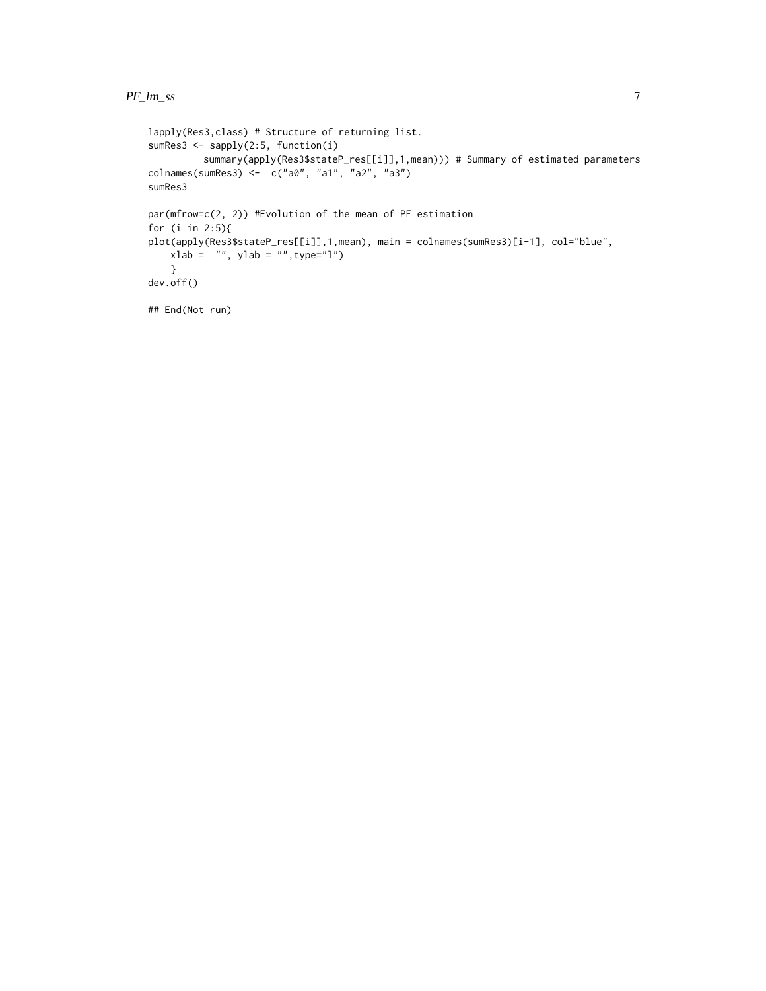```
lapply(Res3,class) # Structure of returning list.
sumRes3 <- sapply(2:5, function(i)
         summary(apply(Res3$stateP_res[[i]],1,mean))) # Summary of estimated parameters
colnames(sumRes3) <- c("a0", "a1", "a2", "a3")
sumRes3
par(mfrow=c(2, 2)) #Evolution of the mean of PF estimation
for (i in 2:5){
plot(apply(Res3$stateP_res[[i]],1,mean), main = colnames(sumRes3)[i-1], col="blue",
   xlab = "", ylab = "", type="1")}
dev.off()
## End(Not run)
```